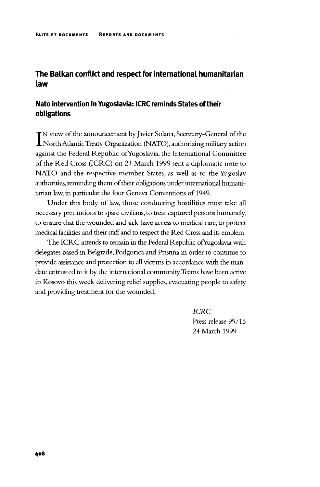# **The Balkan conflict and respect for international humanitarian law**

### **Nato intervention in Yugoslavia: ICRC reminds States of their obligations**

IN view of the announcement by Javier Solana, Secretary-General of the<br>North Atlantic Treaty Organization (NATO), authorizing military action N view of the announcement by Javier Solana, Secretary-General of the against the Federal Republic ofYugoslavia, the International Committee of the Red Cross (ICRC) on 24 March 1999 sent a diplomatic note to NATO and the respective member States, as well as to the Yugoslav authorities, reminding them of their obligations under international humanitarian law, in particular the four Geneva Conventions of 1949.

Under this body of law, those conducting hostilities must take all necessary precautions to spare civilians, to treat captured persons humanely, to ensure that the wounded and sick have access to medical care, to protect medical facilities and their staff and to respect the Red Cross and its emblem.

The ICRC intends to remain in the Federal Republic ofYugoslavia with delegates based in Belgrade, Podgorica and Pristina in order to continue to provide assistance and protection to all victims in accordance with the mandate entrusted to it by the international community. Teams have been active in Kosovo this week delivering relief supplies, evacuating people to safety and providing treatment for the wounded.

> *ICRC* Press release 99/15 24 March 1999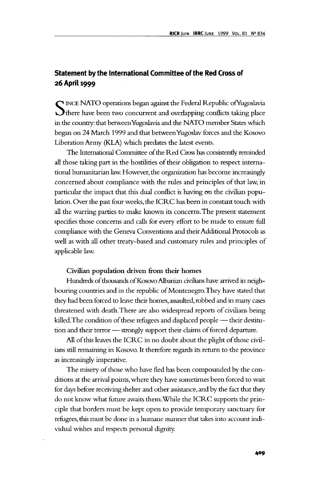## **Statement by the International Committee of the Red Cross of 26 April 1999**

SINCE NATO operations began against the Federal Republic of Yugoslavia<br>Sthere have been two concurrent and overlapping conflicts taking place in the country: that between Yugoslavia and die NATO member States which began on 24 March 1999 and that between Yugoslav forces and the Kosovo Liberation Army (KLA) which predates the latest events.

The International Committee of the Red Cross has consistently reminded all those taking part in the hostilities of dieir obligation to respect international humanitarian law. However, the organization has become increasingly concerned about compliance with the rules and principles of that law, in particular the impact that this dual conflict is having on the civilian population. Over the past four weeks, die ICRC has been in constant touch with all die warring parties to make known its concerns. The present statement specifies those concerns and calls for every effort to be made to ensure full compliance with the Geneva Conventions and their Additional Protocols as well as with all other treaty-based and customary rules and principles of applicable law.

#### **Civilian population driven from their homes**

Hundreds of thousands of Kosovo Albanian civilians have arrived in neighbouring countries and in the republic of Montenegro. They have stated that they had been forced to leave their homes, assaulted, robbed and in many cases threatened with death. There are also widespread reports of civilians being killed. The condition of these refugees and displaced people - their destitution and their terror — strongly support their claims of forced departure.

All of this leaves the ICRC in no doubt about the plight of those civilians still remaining in Kosovo. It therefore regards its return to the province as increasingly imperative.

The misery of those who have fled has been compounded by the conditions at the arrival points, where they have sometimes been forced to wait for days before receiving shelter and other assistance, and by the fact that they do not know what future awaits them.While the ICRC supports the principle that borders must be kept open to provide temporary sanctuary for refugees, this must be done in a humane manner that takes into account individual wishes and respects personal dignity.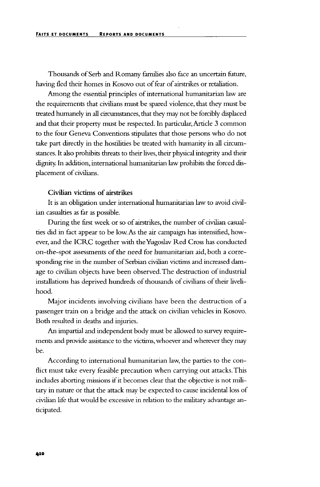Thousands of Serb and Romany families also face an uncertain future, having fled their homes in Kosovo out of fear of airstrikes or retaliation.

Among the essential principles of international humanitarian law are the requirements that civilians must be spared violence, that they must be treated humanely in all circumstances, that they may not be forcibly displaced and that their property must be respected. In particular, Article 3 common to the four Geneva Conventions stipulates that those persons who do not take part directly in the hostilities be treated with humanity in all circumstances. It also prohibits threats to their lives, their physical integrity and their dignity. In addition, international humanitarian law prohibits the forced displacement of civilians.

### **Civilian victims of airstrikes**

**It** is an obligation under international humanitarian law to avoid civilian casualties as far as possible.

During the first week or so of airstrikes, the number of civilian casualties did in fact appear to be low. As the air campaign has intensified, however, and the ICRC together with the Yugoslav Red Cross has conducted on-the-spot assessments of the need for humanitarian aid, both a corresponding rise in the number of Serbian civilian victims and increased damage to civilian objects have been observed. The destruction of industrial installations has deprived hundreds of thousands of civilians of their livelihood.

Major incidents involving civilians have been the destruction of a passenger train on a bridge and the attack on civilian vehicles in Kosovo. Both resulted in deaths and injuries.

An impartial and independent body must be allowed to survey requirements and provide assistance to the victims, whoever and wherever they may be.

According to international humanitarian law, the parties to the conflict must take every feasible precaution when carrying out attacks. This includes aborting missions if it becomes clear that the objective is not military in nature or that the attack may be expected to cause incidental loss of civilian life that would be excessive in relation to the military advantage anticipated.